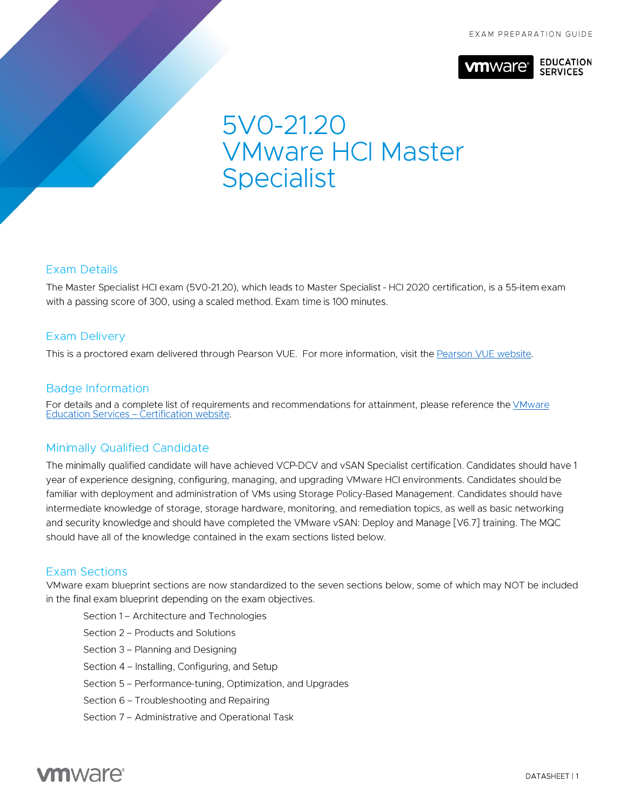

# 5VO-21.20 **VMware HCI Master Specialist**

#### **Exam Details**

The Master Specialist HCI exam (5V0-21.20), which leads to Master Specialist - HCI 2020 certification, is a 55-item exam with a passing score of 300, using a scaled method. Exam time is 100 minutes.

#### **Exam Delivery**

This is a proctored exam delivered through Pearson VUE. For more information, visit the Pearson VUE website.

#### **Badge Information**

For details and a complete list of requirements and recommendations for attainment, please reference the VMware Education Services - Certification website.

### **Minimally Qualified Candidate**

The minimally qualified candidate will have achieved VCP-DCV and vSAN Specialist certification. Candidates should have 1 year of experience designing, configuring, managing, and upgrading VMware HCI environments. Candidates should be familiar with deployment and administration of VMs using Storage Policy-Based Management. Candidates should have intermediate knowledge of storage, storage hardware, monitoring, and remediation topics, as well as basic networking and security knowledge and should have completed the VMware vSAN: Deploy and Manage [V6.7] training. The MQC should have all of the knowledge contained in the exam sections listed below.

#### **Exam Sections**

VMware exam blueprint sections are now standardized to the seven sections below, some of which may NOT be included in the final exam blueprint depending on the exam objectives.

- Section 1 Architecture and Technologies
- Section 2 Products and Solutions
- Section 3 Planning and Designing
- Section 4 Installing, Configuring, and Setup
- Section 5 Performance-tuning, Optimization, and Upgrades
- Section 6 Troubleshooting and Repairing
- Section 7 Administrative and Operational Task

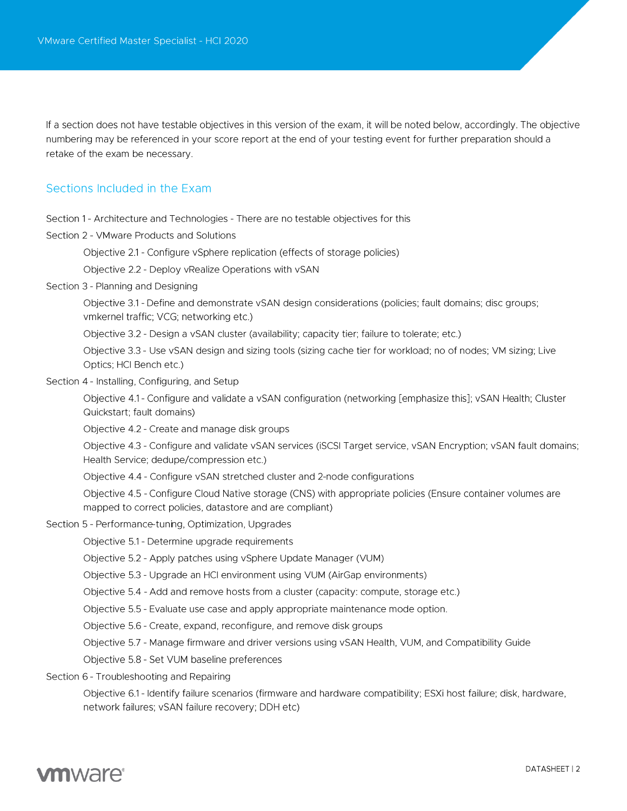If a section does not have testable objectives in this version of the exam, it will be noted below, accordingly. The objective numbering may be referenced in your score report at the end of your testing event for further preparation should a retake of the exam be necessary.

#### Sections Included in the Exam

Section 1 - Architecture and Technologies - There are no testable objectives for this

Section 2 - VMware Products and Solutions

Objective 2.1 - Configure vSphere replication (effects of storage policies)

Objective 2.2 - Deploy vRealize Operations with vSAN

Section 3 - Planning and Designing

Objective 3.1 - Define and demonstrate vSAN design considerations (policies; fault domains; disc groups; vmkernel traffic; VCG; networking etc.)

Objective 3.2 - Design a vSAN cluster (availability; capacity tier; failure to tolerate; etc.)

Objective 3.3 - Use vSAN design and sizing tools (sizing cache tier for workload; no of nodes; VM sizing; Live Optics; HCI Bench etc.)

Section 4 - Installing, Configuring, and Setup

Objective 4.1 - Configure and validate a vSAN configuration (networking [emphasize this]; vSAN Health; Cluster Quickstart; fault domains)

Objective 4.2 - Create and manage disk groups

Objective 4.3 - Configure and validate vSAN services (iSCSI Target service, vSAN Encryption; vSAN fault domains; Health Service; dedupe/compression etc.)

Objective 4.4 - Configure vSAN stretched cluster and 2-node configurations

Objective 4.5 - Configure Cloud Native storage (CNS) with appropriate policies (Ensure container volumes are mapped to correct policies, datastore and are compliant)

- Section 5 Performance-tuning, Optimization, Upgrades
	- Objective 5.1 Determine upgrade requirements
	- Objective 5.2 Apply patches using vSphere Update Manager (VUM)
	- Objective 5.3 Upgrade an HCI environment using VUM (AirGap environments)
	- Objective 5.4 Add and remove hosts from a cluster (capacity: compute, storage etc.)
	- Objective 5.5 Evaluate use case and apply appropriate maintenance mode option.
	- Objective 5.6 Create, expand, reconfigure, and remove disk groups
	- Objective 5.7 Manage firmware and driver versions using vSAN Health, VUM, and Compatibility Guide
	- Objective 5.8 Set VUM baseline preferences
- Section 6 Troubleshooting and Repairing

Objective 6.1 - Identify failure scenarios (firmware and hardware compatibility; ESXi host failure; disk, hardware, network failures; vSAN failure recovery; DDH etc)

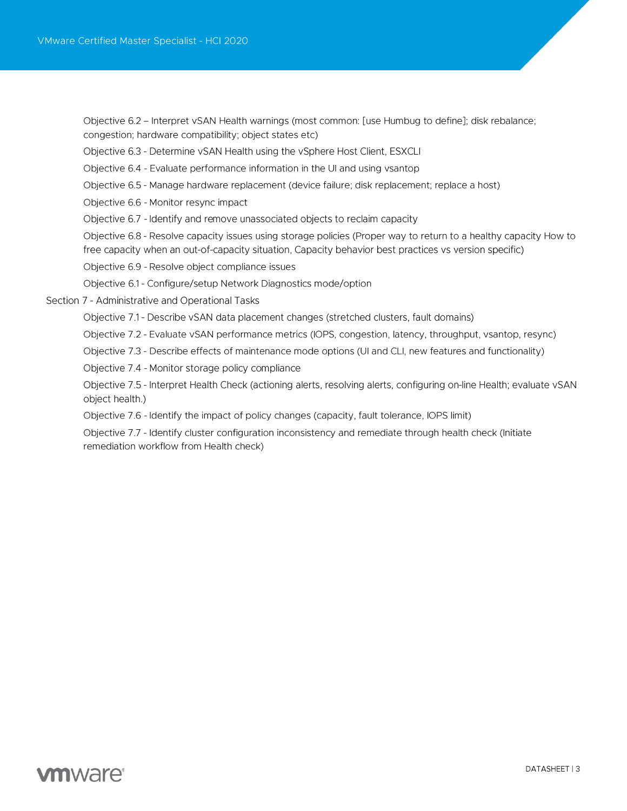Objective 6.2 – Interpret vSAN Health warnings (most common: [use Humbug to define]; disk rebalance; congestion; hardware compatibility; object states etc)

Objective 6.3 - Determine vSAN Health using the vSphere Host Client, ESXCLI

Objective 6.4 - Evaluate performance information in the UI and using vsantop

Objective 6.5 - Manage hardware replacement (device failure; disk replacement; replace a host)

Objective 6.6 - Monitor resync impact

Objective 6.7 - Identify and remove unassociated objects to reclaim capacity

Objective 6.8 - Resolve capacity issues using storage policies (Proper way to return to a healthy capacity How to free capacity when an out-of-capacity situation, Capacity behavior best practices vs version specific)

Objective 6.9 - Resolve object compliance issues

Objective 6.1 - Configure/setup Network Diagnostics mode/option

Section 7 - Administrative and Operational Tasks

Objective 7.1 - Describe vSAN data placement changes (stretched clusters, fault domains)

Objective 7.2 - Evaluate vSAN performance metrics (IOPS, congestion, latency, throughput, vsantop, resync)

Objective 7.3 - Describe effects of maintenance mode options (UI and CLI, new features and functionality)

Objective 7.4 - Monitor storage policy compliance

Objective 7.5 - Interpret Health Check (actioning alerts, resolving alerts, configuring on-line Health; evaluate vSAN object health.)

Objective 7.6 - Identify the impact of policy changes (capacity, fault tolerance, IOPS limit)

Objective 7.7 - Identify cluster configuration inconsistency and remediate through health check (Initiate remediation workflow from Health check)

# **vm**ware<sup>®</sup>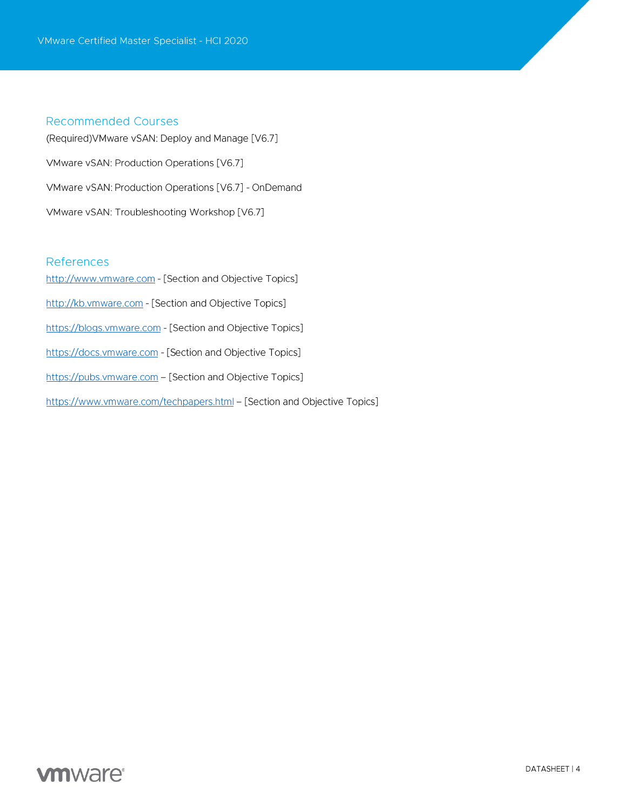#### **Recommended Courses**

(Required) VM ware vSAN: Deploy and Manage [V6.7] VMware vSAN: Production Operations [V6.7] VMware vSAN: Production Operations [V6.7] - OnDemand VMware vSAN: Troubleshooting Workshop [V6.7]

#### References

http://www.vmware.com - [Section and Objective Topics] http://kb.vmware.com - [Section and Objective Topics] https://blogs.vmware.com - [Section and Objective Topics] https://docs.vmware.com - [Section and Objective Topics] https://pubs.vmware.com - [Section and Objective Topics] https://www.vmware.com/techpapers.html - [Section and Objective Topics]

# **vm**ware<sup>®</sup>